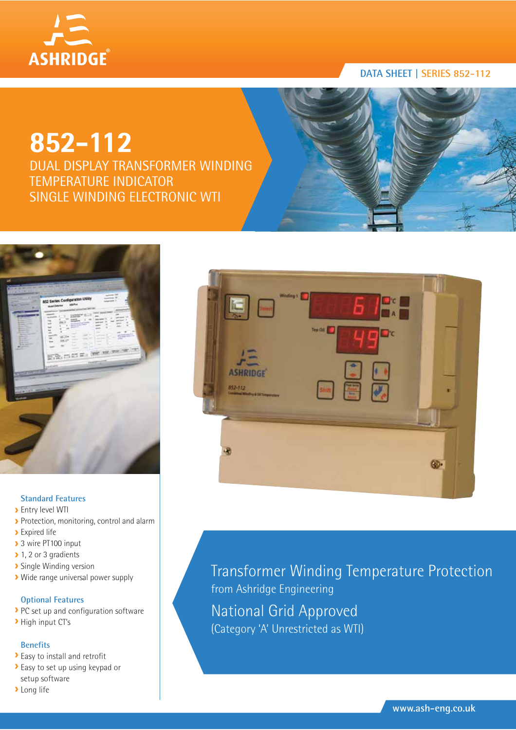

# **852-112**

DUAL DISPLAY TRANSFORMER WINDING TEMPERATURE INDICATOR SINGLE WINDING ELECTRONIC WTI



### **Standard Features**

- **>** Entry level WTI
- Protection, monitoring, control and alarm
- **>** Expired life
- > 3 wire PT100 input
- 1, 2 or 3 gradients
- **>** Single Winding version
- Wide range universal power supply

### **Optional Features**

- PC set up and configuration software
- High input CT's

### **Benefits**

- Easy to install and retrofit
- Easy to set up using keypad or setup software
- **>Long** life



Transformer Winding Temperature Protection from Ashridge Engineering National Grid Approved (Category 'A' Unrestricted as WTI)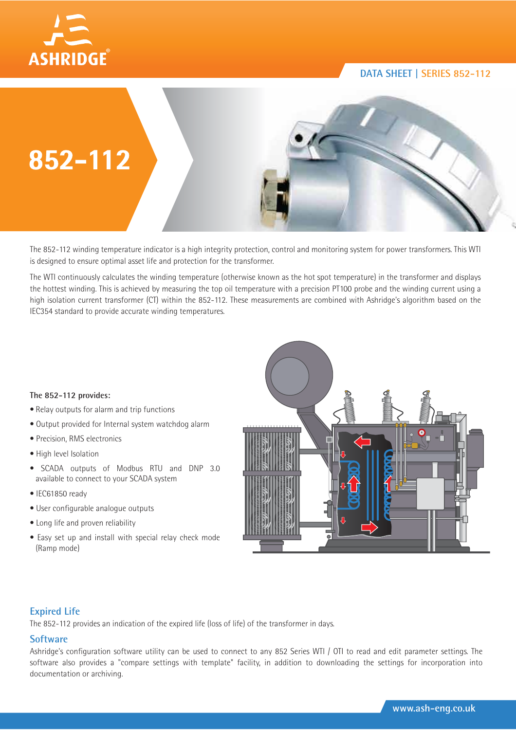



The 852-112 winding temperature indicator is a high integrity protection, control and monitoring system for power transformers. This WTI is designed to ensure optimal asset life and protection for the transformer.

The WTI continuously calculates the winding temperature (otherwise known as the hot spot temperature) in the transformer and displays the hottest winding. This is achieved by measuring the top oil temperature with a precision PT100 probe and the winding current using a high isolation current transformer (CT) within the 852-112. These measurements are combined with Ashridge's algorithm based on the IEC354 standard to provide accurate winding temperatures.

### **The 852-112 provides:**

- Relay outputs for alarm and trip functions
- Output provided for Internal system watchdog alarm
- Precision, RMS electronics
- High level Isolation
- SCADA outputs of Modbus RTU and DNP 3.0 available to connect to your SCADA system
- IEC61850 ready
- User configurable analogue outputs
- Long life and proven reliability
- Easy set up and install with special relay check mode (Ramp mode)



### **Expired Life**

The 852-112 provides an indication of the expired life (loss of life) of the transformer in days.

### **Software**

Ashridge's configuration software utility can be used to connect to any 852 Series WTI / OTI to read and edit parameter settings. The software also provides a "compare settings with template" facility, in addition to downloading the settings for incorporation into documentation or archiving.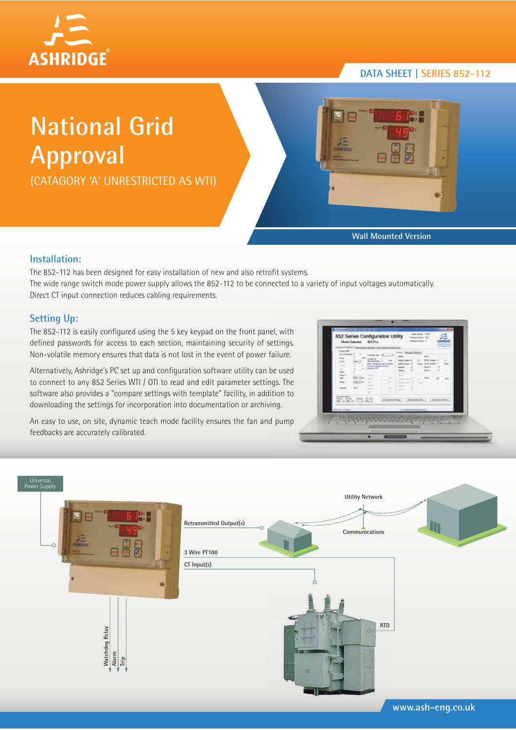

# **National Grid Approval**

(CATAGORY 'A' UNRESTRICTED AS WTI)



**Wall Mounted Version**

### **Installation:**

The 852-112 has been designed for easy installation of new and also retrofit systems. The wide range switch mode power supply allows the 852-112 to be connected to a variety of input voltages automatically. Direct CT input connection reduces cabling requirements.

## **Setting Up:**

The 852-112 is easily configured using the 5 key keypad on the front panel, with defined passwords for access to each section, maintaining security of settings. Non-volatile memory ensures that data is not lost in the event of power failure.

Alternatively, Ashridge's PC set up and configuration software utility can be used to connect to any 852 Series WTI / OTI to read and edit parameter settings. The software also provides a "compare settings with template" facility, in addition to downloading the settings for incorporation into documentation or archiving.

An easy to use, on site, dynamic teach mode facility ensures the fan and pump feedbacks are accurately calibrated.

| <b>Tourist AV</b><br>by of their<br>b.<br><b>Table</b><br><b>Hard</b> | <sup>5</sup> molecul Last<br><b>Disease Fight</b><br><b>Woods from</b><br>anja (Tampato) Luda Patriatas<br><b>McAwd</b> St.<br>$\sim$<br><b>SARA</b><br><b><i><u>ALCOHOL</u></i></b><br>$\sim$<br><b>Ball</b><br>$\sim$ | <b>Single Street</b><br>1.44<br>an i<br><b>Britain 79</b><br><b>START</b><br>TOTAL I<br><b>CONTRACT</b><br>$\sim$<br>26 | <b>THEY SHOW! RANK</b><br>sear.<br>With linear or<br><b>DOM: Deem</b><br>w.<br><b>GRAFT</b><br>w<br>49.45 12<br>a.<br>. .<br>$\sim$<br>n. | 18.00 |  |
|-----------------------------------------------------------------------|-------------------------------------------------------------------------------------------------------------------------------------------------------------------------------------------------------------------------|-------------------------------------------------------------------------------------------------------------------------|-------------------------------------------------------------------------------------------------------------------------------------------|-------|--|
| almost kinesi                                                         | <b>ANTIQUES AND AIR</b>                                                                                                                                                                                                 | and the first product of the con-                                                                                       | A record balance with \$ \$ \$                                                                                                            |       |  |



**www.ash-eng.co.uk**